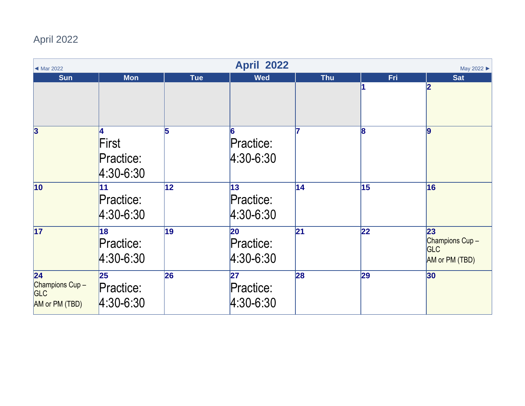## April 2022

| <b>April 2022</b><br>◀ Mar 2022<br>May 2022 ▶                     |                                          |              |                                           |                 |     |                                                      |
|-------------------------------------------------------------------|------------------------------------------|--------------|-------------------------------------------|-----------------|-----|------------------------------------------------------|
| <b>Sun</b>                                                        | <b>Mon</b>                               | <b>Tue</b>   | <b>Wed</b>                                | <b>Thu</b>      | Fri | <b>Sat</b><br> 2                                     |
| $\overline{\mathbf{3}}$                                           | 4<br>First<br>Practice:<br>$4:30 - 6:30$ | 5            | 6<br>Practice:<br>$ 4:30-6:30$            |                 | 8   | 9                                                    |
| $\overline{10}$                                                   | 11<br>Practice:<br>$ 4:30 - 6:30 $       | $ 12\rangle$ | 13<br>Practice:<br>$ 4:30 - 6:30 $        | 14              | 15  | 16                                                   |
| $\overline{17}$                                                   | 18<br>Practice:<br>$4:30 - 6:30$         | 19           | 20<br><b>Practice:</b><br>$ 4:30 - 6:30 $ | $\overline{21}$ | 22  | 23<br>Champions Cup-<br><b>GLC</b><br>AM or PM (TBD) |
| $\overline{24}$<br>Champions Cup-<br><b>GLC</b><br>AM or PM (TBD) | 25<br>Practice:<br>$ 4:30 - 6:30 $       | 26           | 27<br>Practice:<br>$4:30 - 6:30$          | 28              | 29  | 30                                                   |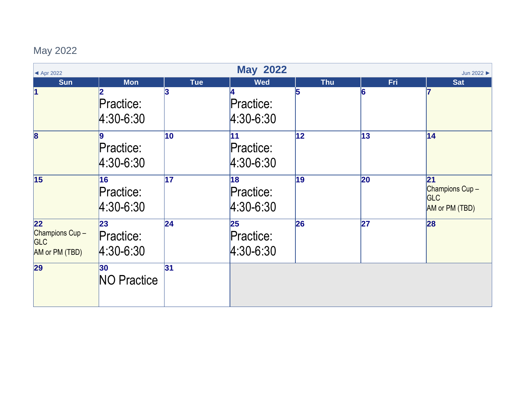## May 2022

| <b>May 2022</b><br>Jun 2022 ><br>$\blacktriangleleft$ Apr 2022    |                                    |            |                                         |              |                 |                                                      |
|-------------------------------------------------------------------|------------------------------------|------------|-----------------------------------------|--------------|-----------------|------------------------------------------------------|
| <b>Sun</b>                                                        | <b>Mon</b>                         | <b>Tue</b> | <b>Wed</b>                              | <b>Thu</b>   | <b>Fri</b>      | <b>Sat</b>                                           |
| $\vert$ 1                                                         | Practice:<br>4:30-6:30             | 3          | <b>Practice:</b><br>$ 4:30 - 6:30 $     |              | l6              |                                                      |
| $\overline{\mathbf{8}}$                                           | 9<br>Practice:<br>$ 4:30-6:30 $    | 10         | 11<br>Practice:<br>$ 4:30 - 6:30 $      | $ 12\rangle$ | 13              | 14                                                   |
| 15                                                                | 16<br>Practice:<br>4:30-6:30       | 17         | 18<br>Practice:<br>$ 4:30 - 6:30 $      | 19           | 20              | 21<br>Champions Cup-<br><b>GLC</b><br>AM or PM (TBD) |
| $\overline{22}$<br>Champions Cup-<br><b>GLC</b><br>AM or PM (TBD) | 23<br>Practice:<br>$ 4:30 - 6:30 $ | 24         | 25<br><b>Practice:</b><br>$ 4:30-6:30 $ | 26           | $\overline{27}$ | 28                                                   |
| 29                                                                | 30<br><b>NO Practice</b>           | 31         |                                         |              |                 |                                                      |